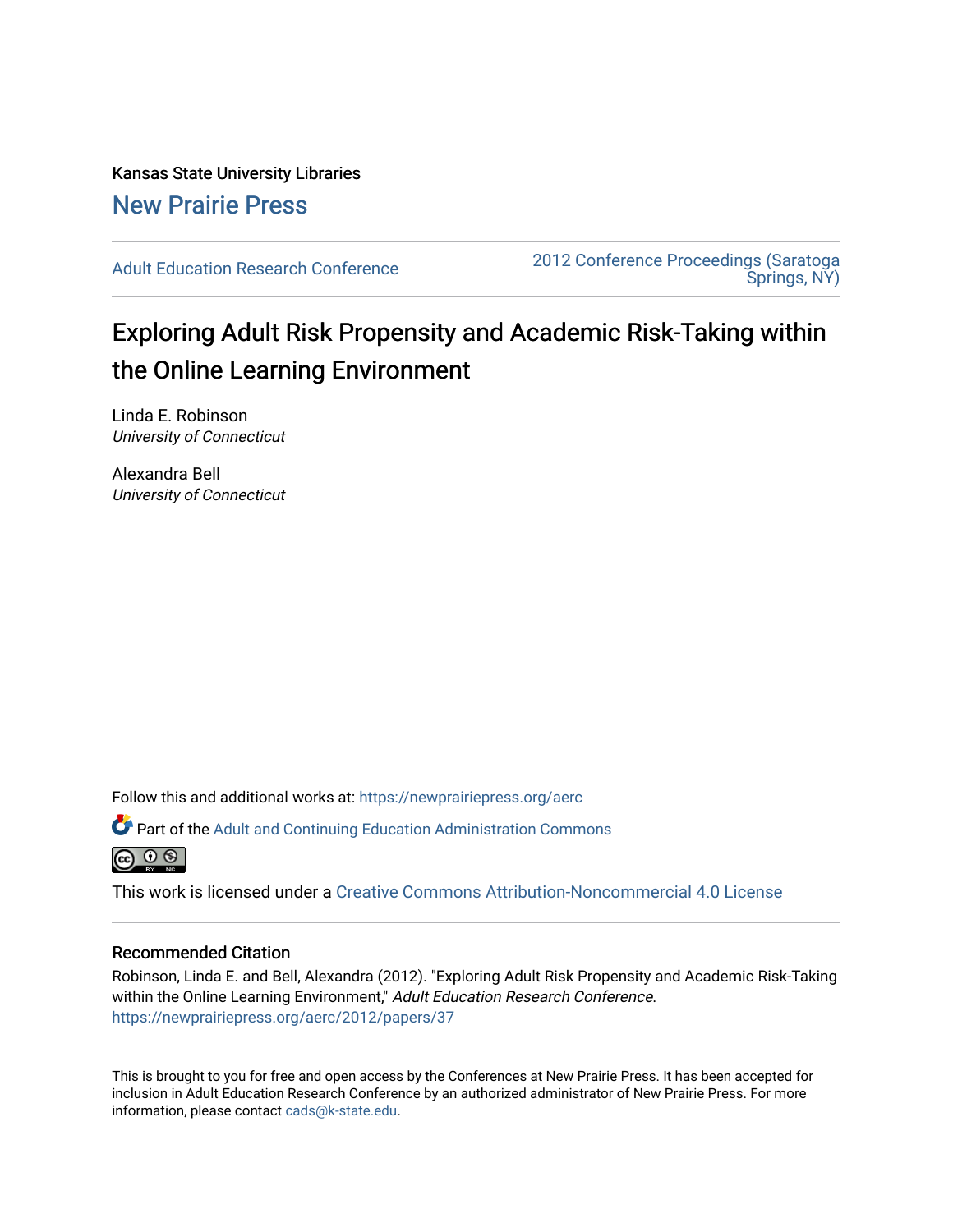Kansas State University Libraries [New Prairie Press](https://newprairiepress.org/) 

[Adult Education Research Conference](https://newprairiepress.org/aerc) [2012 Conference Proceedings \(Saratoga](https://newprairiepress.org/aerc/2012)  [Springs, NY\)](https://newprairiepress.org/aerc/2012) 

# Exploring Adult Risk Propensity and Academic Risk-Taking within the Online Learning Environment

Linda E. Robinson University of Connecticut

Alexandra Bell University of Connecticut

Follow this and additional works at: [https://newprairiepress.org/aerc](https://newprairiepress.org/aerc?utm_source=newprairiepress.org%2Faerc%2F2012%2Fpapers%2F37&utm_medium=PDF&utm_campaign=PDFCoverPages)

Part of the [Adult and Continuing Education Administration Commons](http://network.bepress.com/hgg/discipline/789?utm_source=newprairiepress.org%2Faerc%2F2012%2Fpapers%2F37&utm_medium=PDF&utm_campaign=PDFCoverPages)



This work is licensed under a [Creative Commons Attribution-Noncommercial 4.0 License](https://creativecommons.org/licenses/by-nc/4.0/)

### Recommended Citation

Robinson, Linda E. and Bell, Alexandra (2012). "Exploring Adult Risk Propensity and Academic Risk-Taking within the Online Learning Environment," Adult Education Research Conference. <https://newprairiepress.org/aerc/2012/papers/37>

This is brought to you for free and open access by the Conferences at New Prairie Press. It has been accepted for inclusion in Adult Education Research Conference by an authorized administrator of New Prairie Press. For more information, please contact [cads@k-state.edu](mailto:cads@k-state.edu).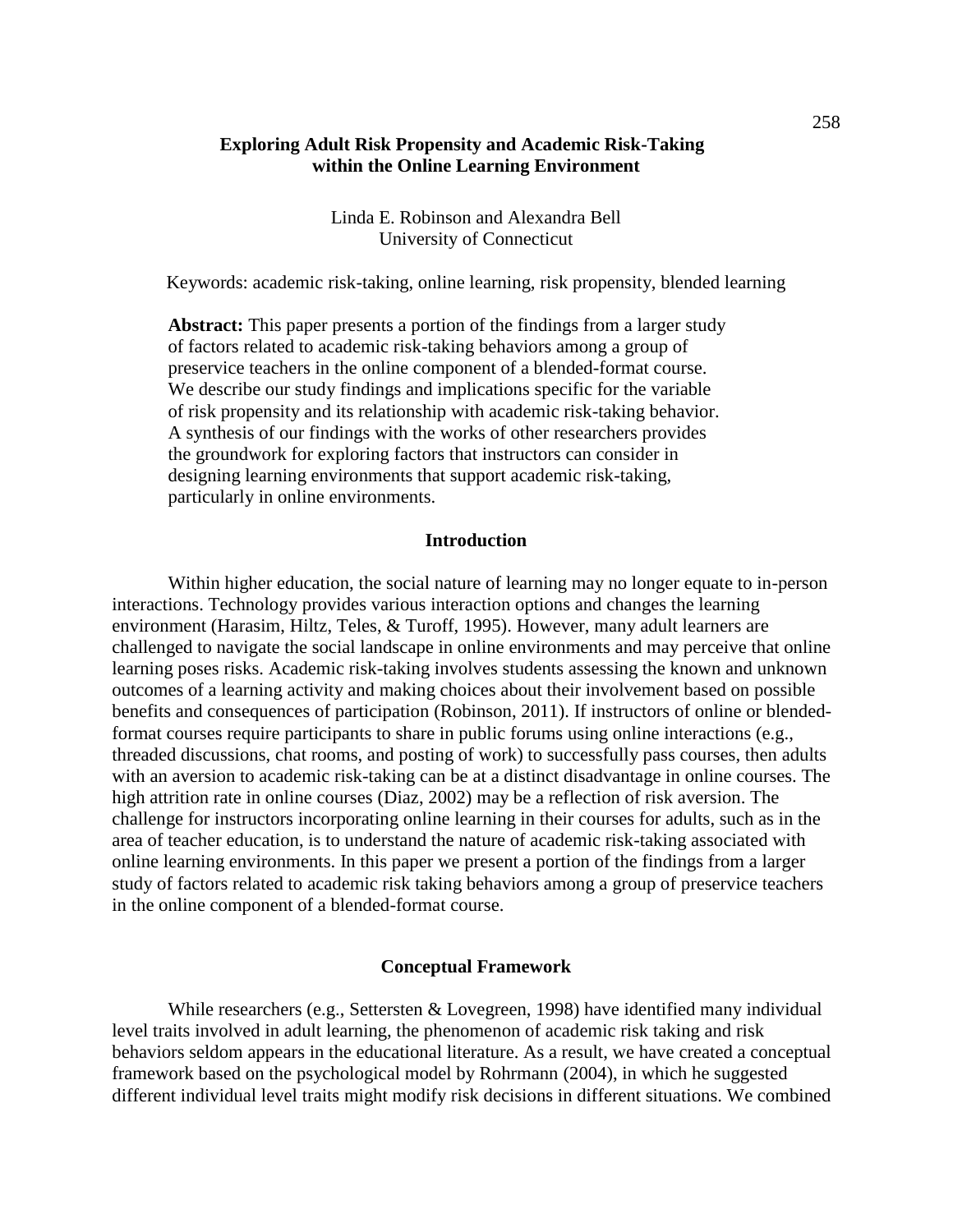## **Exploring Adult Risk Propensity and Academic Risk-Taking within the Online Learning Environment**

Linda E. Robinson and Alexandra Bell University of Connecticut

Keywords: academic risk-taking, online learning, risk propensity, blended learning

**Abstract:** This paper presents a portion of the findings from a larger study of factors related to academic risk-taking behaviors among a group of preservice teachers in the online component of a blended-format course. We describe our study findings and implications specific for the variable of risk propensity and its relationship with academic risk-taking behavior. A synthesis of our findings with the works of other researchers provides the groundwork for exploring factors that instructors can consider in designing learning environments that support academic risk-taking, particularly in online environments.

## **Introduction**

Within higher education, the social nature of learning may no longer equate to in-person interactions. Technology provides various interaction options and changes the learning environment (Harasim, Hiltz, Teles, & Turoff, 1995). However, many adult learners are challenged to navigate the social landscape in online environments and may perceive that online learning poses risks. Academic risk-taking involves students assessing the known and unknown outcomes of a learning activity and making choices about their involvement based on possible benefits and consequences of participation (Robinson, 2011). If instructors of online or blendedformat courses require participants to share in public forums using online interactions (e.g., threaded discussions, chat rooms, and posting of work) to successfully pass courses, then adults with an aversion to academic risk-taking can be at a distinct disadvantage in online courses. The high attrition rate in online courses (Diaz, 2002) may be a reflection of risk aversion. The challenge for instructors incorporating online learning in their courses for adults, such as in the area of teacher education, is to understand the nature of academic risk-taking associated with online learning environments. In this paper we present a portion of the findings from a larger study of factors related to academic risk taking behaviors among a group of preservice teachers in the online component of a blended-format course.

#### **Conceptual Framework**

While researchers (e.g., Settersten & Lovegreen, 1998) have identified many individual level traits involved in adult learning, the phenomenon of academic risk taking and risk behaviors seldom appears in the educational literature. As a result, we have created a conceptual framework based on the psychological model by Rohrmann (2004), in which he suggested different individual level traits might modify risk decisions in different situations. We combined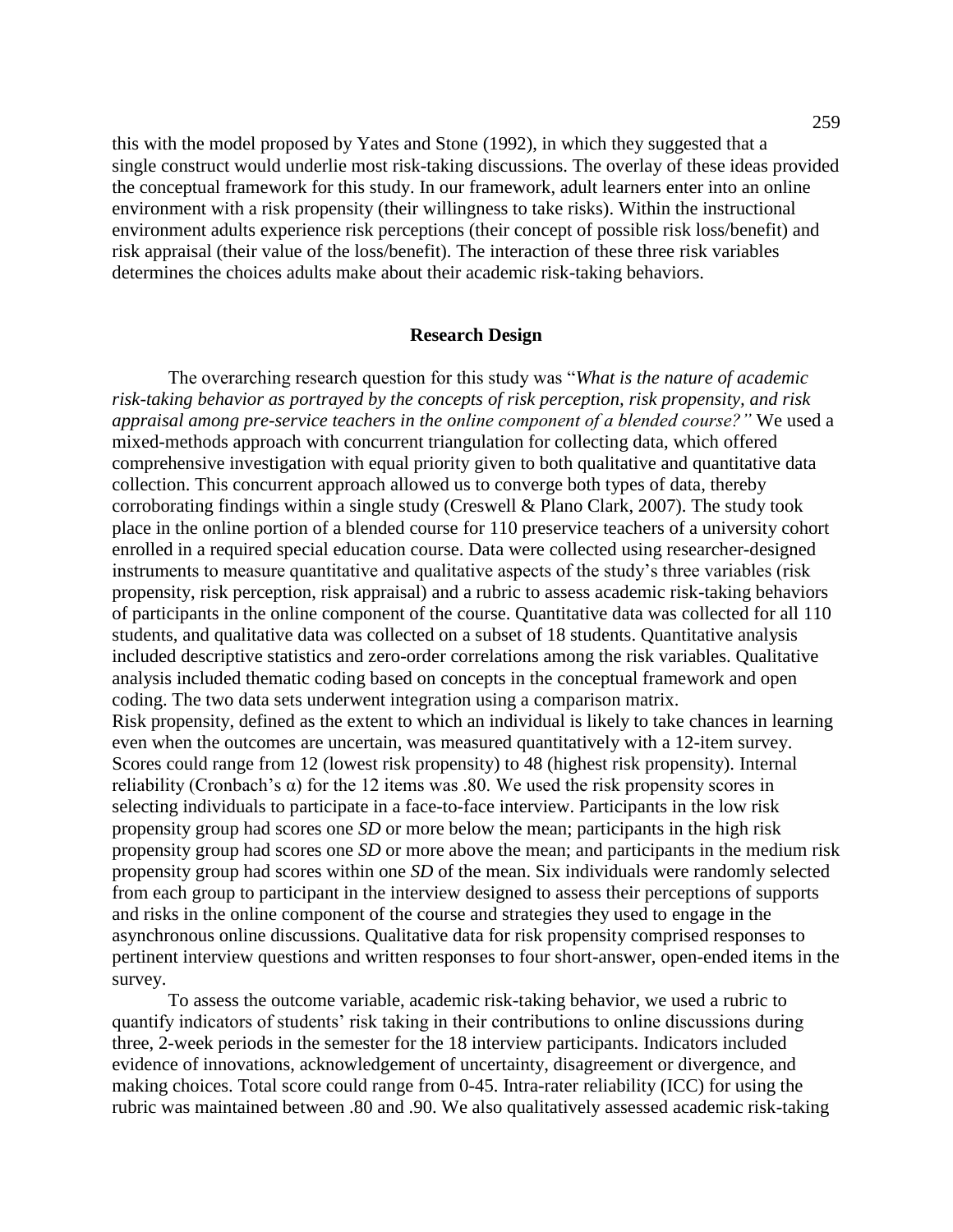this with the model proposed by Yates and Stone (1992), in which they suggested that a single construct would underlie most risk-taking discussions. The overlay of these ideas provided the conceptual framework for this study. In our framework, adult learners enter into an online environment with a risk propensity (their willingness to take risks). Within the instructional environment adults experience risk perceptions (their concept of possible risk loss/benefit) and risk appraisal (their value of the loss/benefit). The interaction of these three risk variables determines the choices adults make about their academic risk-taking behaviors.

#### **Research Design**

The overarching research question for this study was "What is the nature of academic *risk-taking behavior as portrayed by the concepts of risk perception, risk propensity, and risk appraisal among pre-service teachers in the online component of a blended course?*" We used a mixed-methods approach with concurrent triangulation for collecting data, which offered comprehensive investigation with equal priority given to both qualitative and quantitative data collection. This concurrent approach allowed us to converge both types of data, thereby corroborating findings within a single study (Creswell & Plano Clark, 2007). The study took place in the online portion of a blended course for 110 preservice teachers of a university cohort enrolled in a required special education course. Data were collected using researcher-designed instruments to measure quantitative and qualitative aspects of the study's three variables (risk propensity, risk perception, risk appraisal) and a rubric to assess academic risk-taking behaviors of participants in the online component of the course. Quantitative data was collected for all 110 students, and qualitative data was collected on a subset of 18 students. Quantitative analysis included descriptive statistics and zero-order correlations among the risk variables. Qualitative analysis included thematic coding based on concepts in the conceptual framework and open coding. The two data sets underwent integration using a comparison matrix. Risk propensity, defined as the extent to which an individual is likely to take chances in learning even when the outcomes are uncertain, was measured quantitatively with a 12-item survey. Scores could range from 12 (lowest risk propensity) to 48 (highest risk propensity). Internal reliability (Cronbach's  $\alpha$ ) for the 12 items was .80. We used the risk propensity scores in selecting individuals to participate in a face-to-face interview. Participants in the low risk propensity group had scores one *SD* or more below the mean; participants in the high risk propensity group had scores one *SD* or more above the mean; and participants in the medium risk propensity group had scores within one *SD* of the mean. Six individuals were randomly selected from each group to participant in the interview designed to assess their perceptions of supports and risks in the online component of the course and strategies they used to engage in the asynchronous online discussions. Qualitative data for risk propensity comprised responses to pertinent interview questions and written responses to four short-answer, open-ended items in the survey.

To assess the outcome variable, academic risk-taking behavior, we used a rubric to quantify indicators of students' risk taking in their contributions to online discussions during three, 2-week periods in the semester for the 18 interview participants. Indicators included evidence of innovations, acknowledgement of uncertainty, disagreement or divergence, and making choices. Total score could range from 0-45. Intra-rater reliability (ICC) for using the rubric was maintained between .80 and .90. We also qualitatively assessed academic risk-taking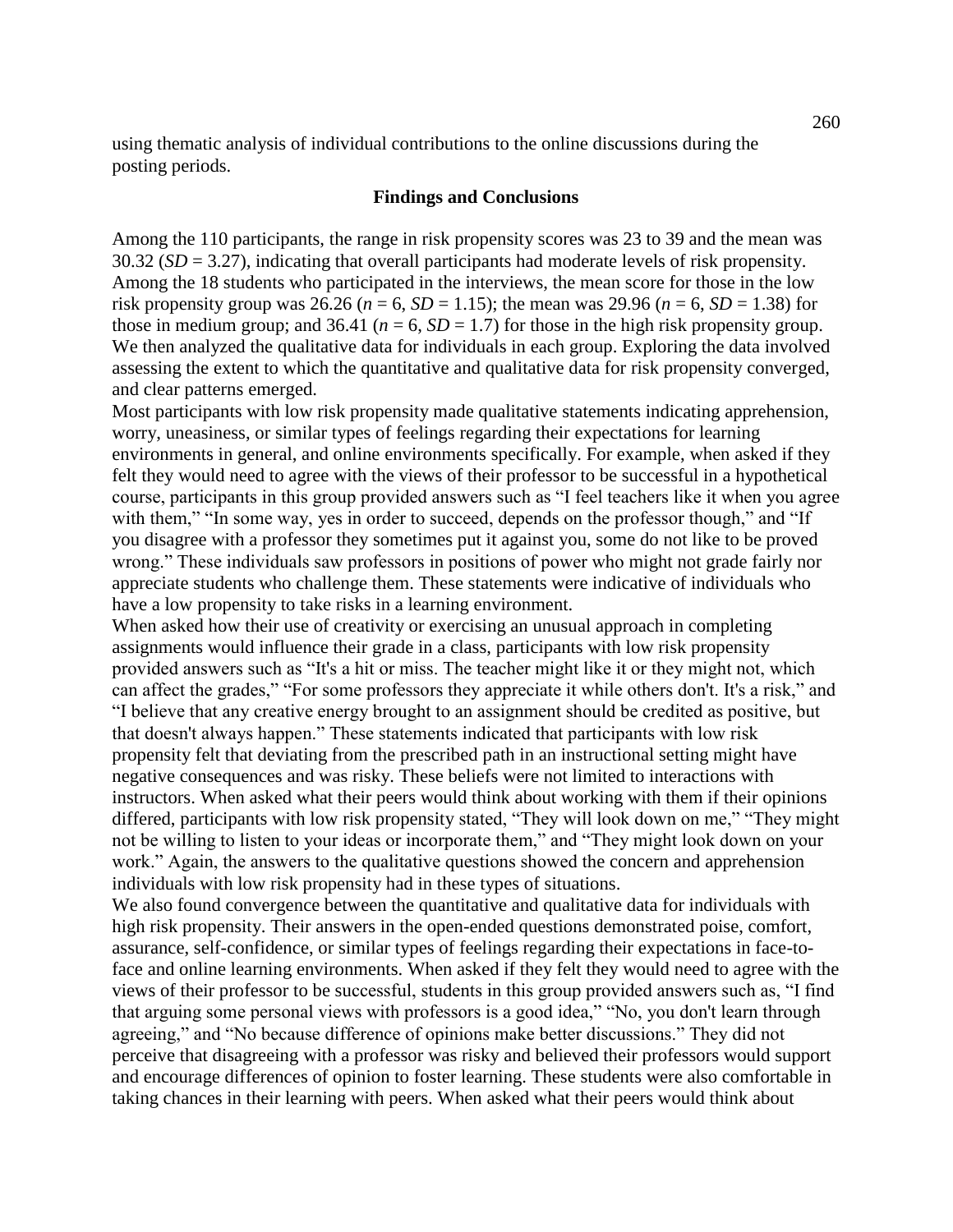using thematic analysis of individual contributions to the online discussions during the posting periods.

#### **Findings and Conclusions**

Among the 110 participants, the range in risk propensity scores was 23 to 39 and the mean was 30.32 (*SD* = 3.27), indicating that overall participants had moderate levels of risk propensity. Among the 18 students who participated in the interviews, the mean score for those in the low risk propensity group was 26.26 ( $n = 6$ ,  $SD = 1.15$ ); the mean was 29.96 ( $n = 6$ ,  $SD = 1.38$ ) for those in medium group; and 36.41 ( $n = 6$ ,  $SD = 1.7$ ) for those in the high risk propensity group. We then analyzed the qualitative data for individuals in each group. Exploring the data involved assessing the extent to which the quantitative and qualitative data for risk propensity converged, and clear patterns emerged.

Most participants with low risk propensity made qualitative statements indicating apprehension, worry, uneasiness, or similar types of feelings regarding their expectations for learning environments in general, and online environments specifically. For example, when asked if they felt they would need to agree with the views of their professor to be successful in a hypothetical course, participants in this group provided answers such as "I feel teachers like it when you agree with them," "In some way, yes in order to succeed, depends on the professor though," and "If you disagree with a professor they sometimes put it against you, some do not like to be proved wrong." These individuals saw professors in positions of power who might not grade fairly nor appreciate students who challenge them. These statements were indicative of individuals who have a low propensity to take risks in a learning environment.

When asked how their use of creativity or exercising an unusual approach in completing assignments would influence their grade in a class, participants with low risk propensity provided answers such as "It's a hit or miss. The teacher might like it or they might not, which can affect the grades," "For some professors they appreciate it while others don't. It's a risk," and ―I believe that any creative energy brought to an assignment should be credited as positive, but that doesn't always happen." These statements indicated that participants with low risk propensity felt that deviating from the prescribed path in an instructional setting might have negative consequences and was risky. These beliefs were not limited to interactions with instructors. When asked what their peers would think about working with them if their opinions differed, participants with low risk propensity stated, "They will look down on me," "They might not be willing to listen to your ideas or incorporate them," and "They might look down on your work." Again, the answers to the qualitative questions showed the concern and apprehension individuals with low risk propensity had in these types of situations.

We also found convergence between the quantitative and qualitative data for individuals with high risk propensity. Their answers in the open-ended questions demonstrated poise, comfort, assurance, self-confidence, or similar types of feelings regarding their expectations in face-toface and online learning environments. When asked if they felt they would need to agree with the views of their professor to be successful, students in this group provided answers such as, "I find that arguing some personal views with professors is a good idea," "No, you don't learn through agreeing," and "No because difference of opinions make better discussions." They did not perceive that disagreeing with a professor was risky and believed their professors would support and encourage differences of opinion to foster learning. These students were also comfortable in taking chances in their learning with peers. When asked what their peers would think about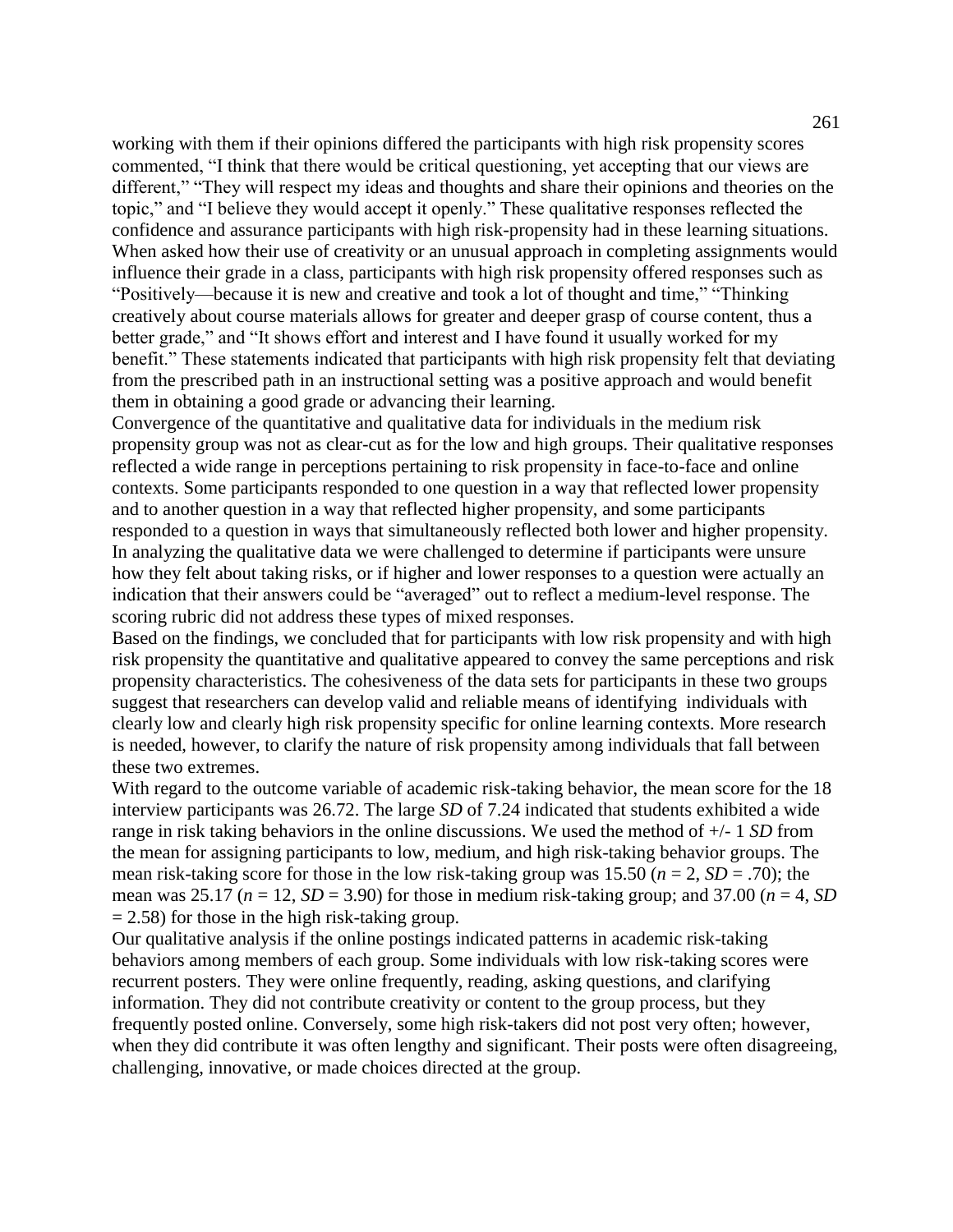working with them if their opinions differed the participants with high risk propensity scores commented, "I think that there would be critical questioning, yet accepting that our views are different," "They will respect my ideas and thoughts and share their opinions and theories on the topic," and "I believe they would accept it openly." These qualitative responses reflected the confidence and assurance participants with high risk-propensity had in these learning situations. When asked how their use of creativity or an unusual approach in completing assignments would influence their grade in a class, participants with high risk propensity offered responses such as "Positively—because it is new and creative and took a lot of thought and time," "Thinking creatively about course materials allows for greater and deeper grasp of course content, thus a better grade," and "It shows effort and interest and I have found it usually worked for my benefit." These statements indicated that participants with high risk propensity felt that deviating from the prescribed path in an instructional setting was a positive approach and would benefit them in obtaining a good grade or advancing their learning.

Convergence of the quantitative and qualitative data for individuals in the medium risk propensity group was not as clear-cut as for the low and high groups. Their qualitative responses reflected a wide range in perceptions pertaining to risk propensity in face-to-face and online contexts. Some participants responded to one question in a way that reflected lower propensity and to another question in a way that reflected higher propensity, and some participants responded to a question in ways that simultaneously reflected both lower and higher propensity. In analyzing the qualitative data we were challenged to determine if participants were unsure how they felt about taking risks, or if higher and lower responses to a question were actually an indication that their answers could be "averaged" out to reflect a medium-level response. The scoring rubric did not address these types of mixed responses.

Based on the findings, we concluded that for participants with low risk propensity and with high risk propensity the quantitative and qualitative appeared to convey the same perceptions and risk propensity characteristics. The cohesiveness of the data sets for participants in these two groups suggest that researchers can develop valid and reliable means of identifying individuals with clearly low and clearly high risk propensity specific for online learning contexts. More research is needed, however, to clarify the nature of risk propensity among individuals that fall between these two extremes.

With regard to the outcome variable of academic risk-taking behavior, the mean score for the 18 interview participants was 26.72. The large *SD* of 7.24 indicated that students exhibited a wide range in risk taking behaviors in the online discussions. We used the method of +/- 1 *SD* from the mean for assigning participants to low, medium, and high risk-taking behavior groups. The mean risk-taking score for those in the low risk-taking group was 15.50 (*n* = 2, *SD* = .70); the mean was 25.17 ( $n = 12$ ,  $SD = 3.90$ ) for those in medium risk-taking group; and 37.00 ( $n = 4$ , SD  $= 2.58$ ) for those in the high risk-taking group.

Our qualitative analysis if the online postings indicated patterns in academic risk-taking behaviors among members of each group. Some individuals with low risk-taking scores were recurrent posters. They were online frequently, reading, asking questions, and clarifying information. They did not contribute creativity or content to the group process, but they frequently posted online. Conversely, some high risk-takers did not post very often; however, when they did contribute it was often lengthy and significant. Their posts were often disagreeing, challenging, innovative, or made choices directed at the group.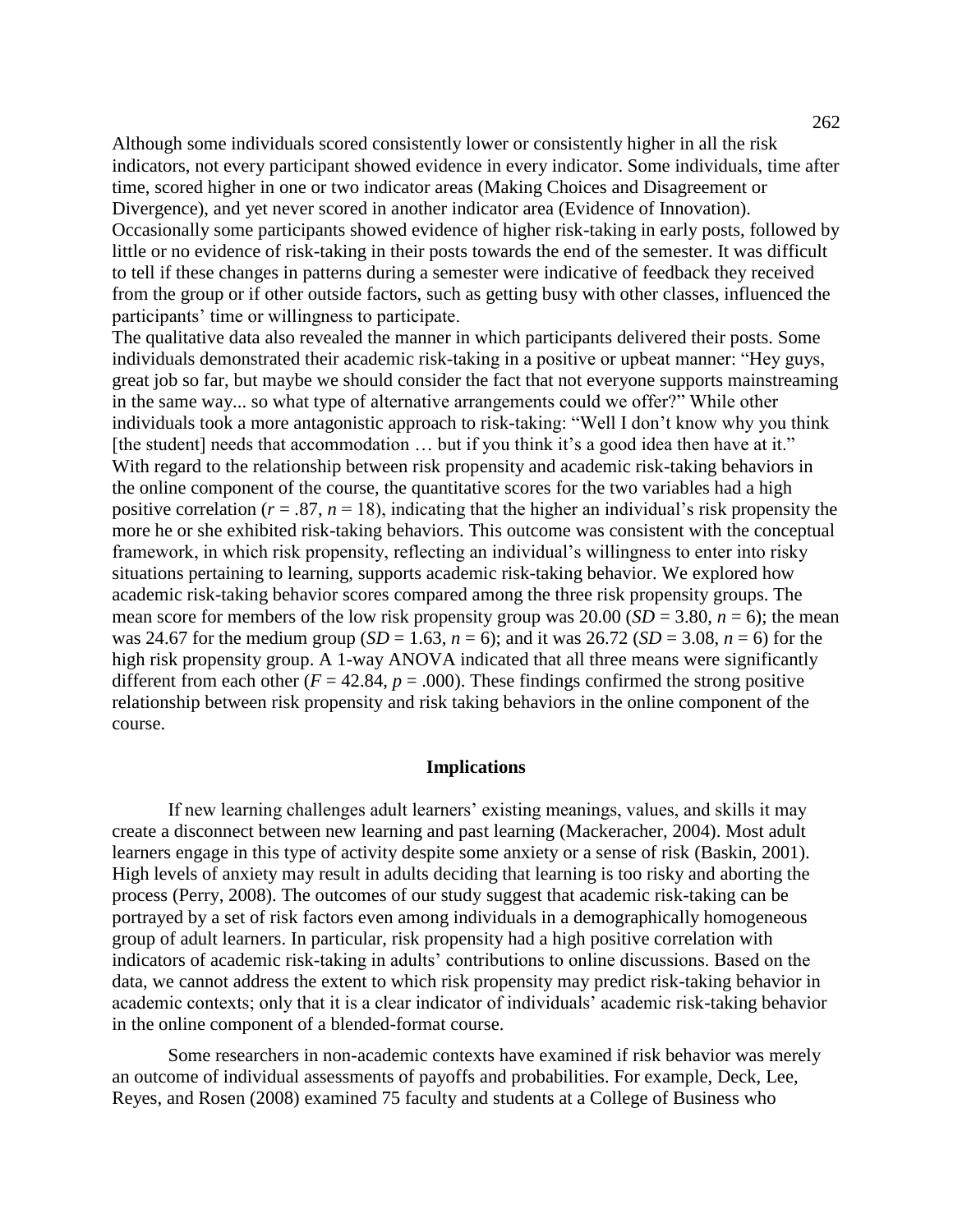Although some individuals scored consistently lower or consistently higher in all the risk indicators, not every participant showed evidence in every indicator. Some individuals, time after time, scored higher in one or two indicator areas (Making Choices and Disagreement or Divergence), and yet never scored in another indicator area (Evidence of Innovation). Occasionally some participants showed evidence of higher risk-taking in early posts, followed by little or no evidence of risk-taking in their posts towards the end of the semester. It was difficult to tell if these changes in patterns during a semester were indicative of feedback they received from the group or if other outside factors, such as getting busy with other classes, influenced the participants' time or willingness to participate.

The qualitative data also revealed the manner in which participants delivered their posts. Some individuals demonstrated their academic risk-taking in a positive or upbeat manner: "Hey guys, great job so far, but maybe we should consider the fact that not everyone supports mainstreaming in the same way... so what type of alternative arrangements could we offer?" While other individuals took a more antagonistic approach to risk-taking: "Well I don't know why you think [the student] needs that accommodation ... but if you think it's a good idea then have at it." With regard to the relationship between risk propensity and academic risk-taking behaviors in the online component of the course, the quantitative scores for the two variables had a high positive correlation ( $r = .87$ ,  $n = 18$ ), indicating that the higher an individual's risk propensity the more he or she exhibited risk-taking behaviors. This outcome was consistent with the conceptual framework, in which risk propensity, reflecting an individual's willingness to enter into risky situations pertaining to learning, supports academic risk-taking behavior. We explored how academic risk-taking behavior scores compared among the three risk propensity groups. The mean score for members of the low risk propensity group was  $20.00$  (*SD* = 3.80, *n* = 6); the mean was 24.67 for the medium group (*SD* = 1.63, *n* = 6); and it was 26.72 (*SD* = 3.08, *n* = 6) for the high risk propensity group. A 1-way ANOVA indicated that all three means were significantly different from each other ( $F = 42.84$ ,  $p = .000$ ). These findings confirmed the strong positive relationship between risk propensity and risk taking behaviors in the online component of the course.

#### **Implications**

If new learning challenges adult learners' existing meanings, values, and skills it may create a disconnect between new learning and past learning (Mackeracher, 2004). Most adult learners engage in this type of activity despite some anxiety or a sense of risk (Baskin, 2001). High levels of anxiety may result in adults deciding that learning is too risky and aborting the process (Perry, 2008). The outcomes of our study suggest that academic risk-taking can be portrayed by a set of risk factors even among individuals in a demographically homogeneous group of adult learners. In particular, risk propensity had a high positive correlation with indicators of academic risk-taking in adults' contributions to online discussions. Based on the data, we cannot address the extent to which risk propensity may predict risk-taking behavior in academic contexts; only that it is a clear indicator of individuals' academic risk-taking behavior in the online component of a blended-format course.

Some researchers in non-academic contexts have examined if risk behavior was merely an outcome of individual assessments of payoffs and probabilities. For example, Deck, Lee, Reyes, and Rosen (2008) examined 75 faculty and students at a College of Business who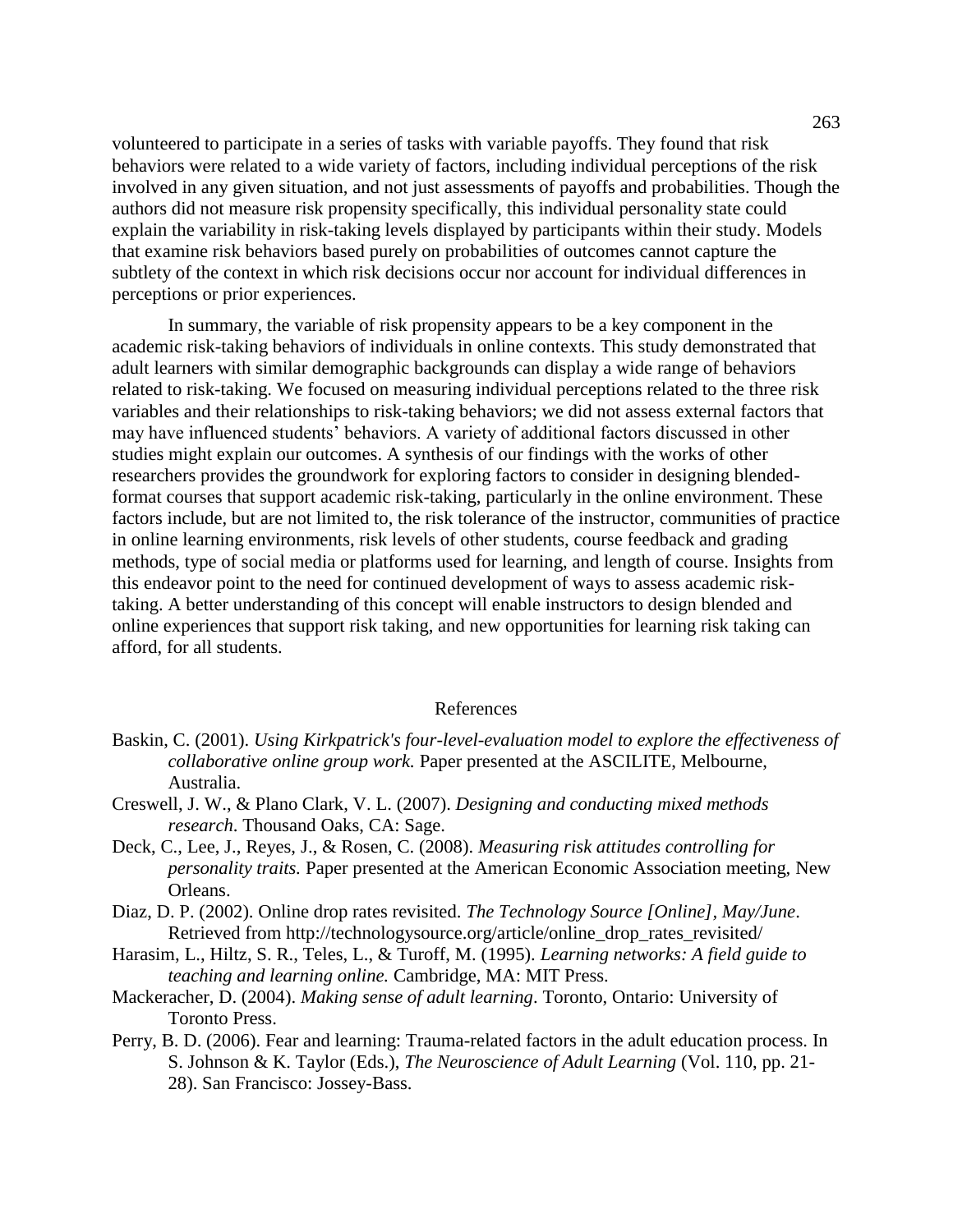volunteered to participate in a series of tasks with variable payoffs. They found that risk behaviors were related to a wide variety of factors, including individual perceptions of the risk involved in any given situation, and not just assessments of payoffs and probabilities. Though the authors did not measure risk propensity specifically, this individual personality state could explain the variability in risk-taking levels displayed by participants within their study. Models that examine risk behaviors based purely on probabilities of outcomes cannot capture the subtlety of the context in which risk decisions occur nor account for individual differences in perceptions or prior experiences.

In summary, the variable of risk propensity appears to be a key component in the academic risk-taking behaviors of individuals in online contexts. This study demonstrated that adult learners with similar demographic backgrounds can display a wide range of behaviors related to risk-taking. We focused on measuring individual perceptions related to the three risk variables and their relationships to risk-taking behaviors; we did not assess external factors that may have influenced students' behaviors. A variety of additional factors discussed in other studies might explain our outcomes. A synthesis of our findings with the works of other researchers provides the groundwork for exploring factors to consider in designing blendedformat courses that support academic risk-taking, particularly in the online environment. These factors include, but are not limited to, the risk tolerance of the instructor, communities of practice in online learning environments, risk levels of other students, course feedback and grading methods, type of social media or platforms used for learning, and length of course. Insights from this endeavor point to the need for continued development of ways to assess academic risktaking. A better understanding of this concept will enable instructors to design blended and online experiences that support risk taking, and new opportunities for learning risk taking can afford, for all students.

## References

- Baskin, C. (2001). *Using Kirkpatrick's four-level-evaluation model to explore the effectiveness of collaborative online group work.* Paper presented at the ASCILITE, Melbourne, Australia.
- Creswell, J. W., & Plano Clark, V. L. (2007). *Designing and conducting mixed methods research*. Thousand Oaks, CA: Sage.
- Deck, C., Lee, J., Reyes, J., & Rosen, C. (2008). *Measuring risk attitudes controlling for personality traits.* Paper presented at the American Economic Association meeting, New Orleans.
- Diaz, D. P. (2002). Online drop rates revisited. *The Technology Source [Online], May/June*. Retrieved from http://technologysource.org/article/online\_drop\_rates\_revisited/
- Harasim, L., Hiltz, S. R., Teles, L., & Turoff, M. (1995). *Learning networks: A field guide to teaching and learning online.* Cambridge, MA: MIT Press.
- Mackeracher, D. (2004). *Making sense of adult learning*. Toronto, Ontario: University of Toronto Press.
- Perry, B. D. (2006). Fear and learning: Trauma-related factors in the adult education process. In S. Johnson & K. Taylor (Eds.), *The Neuroscience of Adult Learning* (Vol. 110, pp. 21- 28). San Francisco: Jossey-Bass.